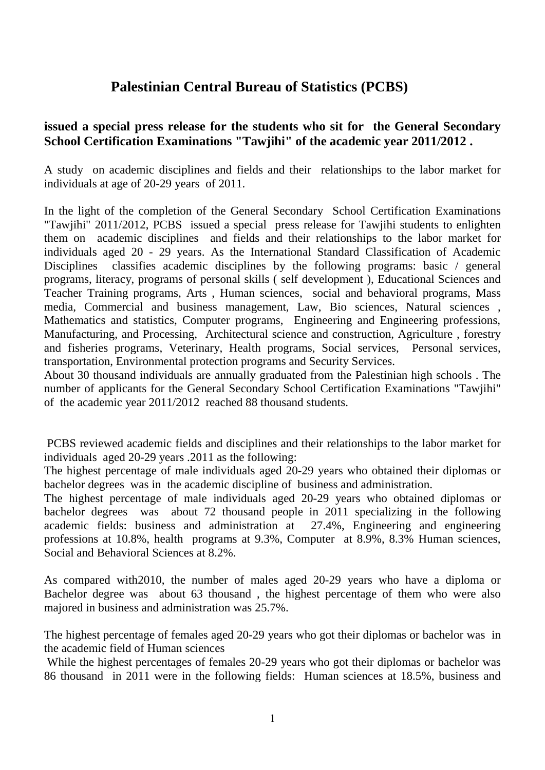## **Palestinian Central Bureau of Statistics (PCBS)**

## **issued a special press release for the students who sit for the General Secondary School Certification Examinations "Tawjihi" of the academic year 2011/2012 .**

A study on academic disciplines and fields and their relationships to the labor market for individuals at age of 20-29 years of 2011.

In the light of the completion of the General Secondary School Certification Examinations "Tawjihi" 2011/2012, PCBS issued a special press release for Tawjihi students to enlighten them on academic disciplines and fields and their relationships to the labor market for individuals aged 20 - 29 years. As the International Standard Classification of Academic Disciplines classifies academic disciplines by the following programs: basic / general programs, literacy, programs of personal skills ( self development ), Educational Sciences and Teacher Training programs, Arts , Human sciences, social and behavioral programs, Mass media, Commercial and business management, Law, Bio sciences, Natural sciences , Mathematics and statistics, Computer programs, Engineering and Engineering professions, Manufacturing, and Processing, Architectural science and construction, Agriculture , forestry and fisheries programs, Veterinary, Health programs, Social services, Personal services, transportation, Environmental protection programs and Security Services.

About 30 thousand individuals are annually graduated from the Palestinian high schools . The number of applicants for the General Secondary School Certification Examinations "Tawjihi" of the academic year 2011/2012 reached 88 thousand students.

PCBS reviewed academic fields and disciplines and their relationships to the labor market for individuals aged 20-29 years .2011 as the following:

The highest percentage of male individuals aged 20-29 years who obtained their diplomas or bachelor degrees was in the academic discipline of business and administration.

The highest percentage of male individuals aged 20-29 years who obtained diplomas or bachelor degrees was about 72 thousand people in 2011 specializing in the following academic fields: business and administration at 27.4%, Engineering and engineering professions at 10.8%, health programs at 9.3%, Computer at 8.9%, 8.3% Human sciences, Social and Behavioral Sciences at 8.2%.

As compared with2010, the number of males aged 20-29 years who have a diploma or Bachelor degree was about 63 thousand , the highest percentage of them who were also majored in business and administration was 25.7%.

The highest percentage of females aged 20-29 years who got their diplomas or bachelor was in the academic field of Human sciences

While the highest percentages of females 20-29 years who got their diplomas or bachelor was 86 thousand in 2011 were in the following fields: Human sciences at 18.5%, business and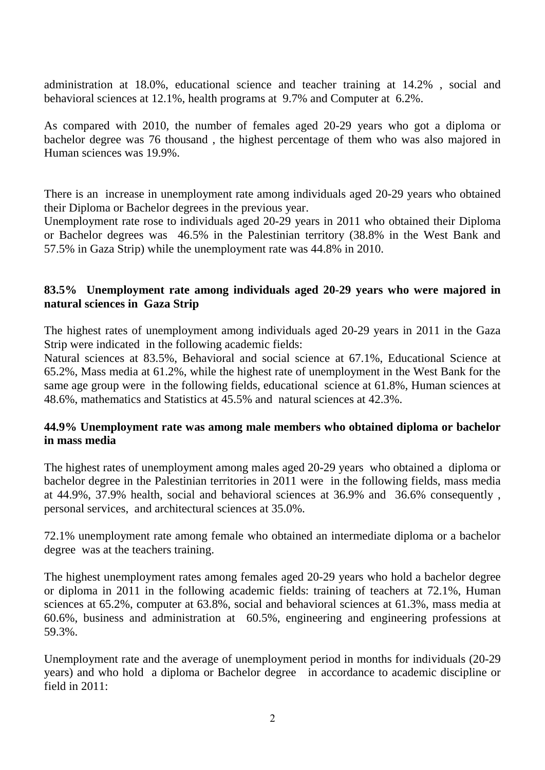administration at 18.0%, educational science and teacher training at 14.2% , social and behavioral sciences at 12.1%, health programs at 9.7% and Computer at 6.2%.

As compared with 2010, the number of females aged 20-29 years who got a diploma or bachelor degree was 76 thousand , the highest percentage of them who was also majored in Human sciences was 19.9%.

There is an increase in unemployment rate among individuals aged 20-29 years who obtained their Diploma or Bachelor degrees in the previous year.

Unemployment rate rose to individuals aged 20-29 years in 2011 who obtained their Diploma or Bachelor degrees was 46.5% in the Palestinian territory (38.8% in the West Bank and 57.5% in Gaza Strip) while the unemployment rate was 44.8% in 2010.

## **83.5% Unemployment rate among individuals aged 20-29 years who were majored in natural sciences in Gaza Strip**

The highest rates of unemployment among individuals aged 20-29 years in 2011 in the Gaza Strip were indicated in the following academic fields:

Natural sciences at 83.5%, Behavioral and social science at 67.1%, Educational Science at 65.2%, Mass media at 61.2%, while the highest rate of unemployment in the West Bank for the same age group were in the following fields, educational science at 61.8%, Human sciences at 48.6%, mathematics and Statistics at 45.5% and natural sciences at 42.3%.

## **44.9% Unemployment rate was among male members who obtained diploma or bachelor in mass media**

The highest rates of unemployment among males aged 20-29 years who obtained a diploma or bachelor degree in the Palestinian territories in 2011 were in the following fields, mass media at 44.9%, 37.9% health, social and behavioral sciences at 36.9% and 36.6% consequently , personal services, and architectural sciences at 35.0%.

72.1% unemployment rate among female who obtained an intermediate diploma or a bachelor degree was at the teachers training.

The highest unemployment rates among females aged 20-29 years who hold a bachelor degree or diploma in 2011 in the following academic fields: training of teachers at 72.1%, Human sciences at 65.2%, computer at 63.8%, social and behavioral sciences at 61.3%, mass media at 60.6%, business and administration at 60.5%, engineering and engineering professions at 59.3%.

Unemployment rate and the average of unemployment period in months for individuals (20-29 years) and who hold a diploma or Bachelor degree in accordance to academic discipline or field in 2011: